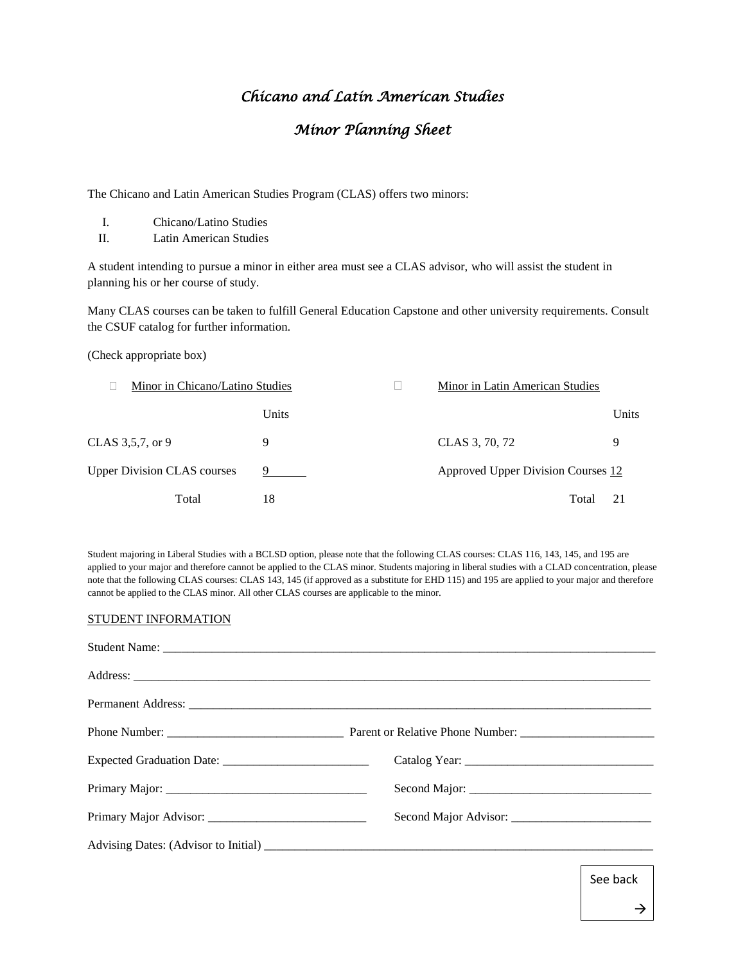## *Chicano and Latin American Studies*

## *Minor Planning Sheet*

The Chicano and Latin American Studies Program (CLAS) offers two minors:

- I. Chicano/Latino Studies
- II. Latin American Studies

A student intending to pursue a minor in either area must see a CLAS advisor, who will assist the student in planning his or her course of study.

Many CLAS courses can be taken to fulfill General Education Capstone and other university requirements. Consult the CSUF catalog for further information.

(Check appropriate box)

| Minor in Chicano/Latino Studies    |       | <b>Minor in Latin American Studies</b> |       |
|------------------------------------|-------|----------------------------------------|-------|
|                                    | Units |                                        | Units |
| CLAS 3,5,7, or 9                   | 9     | CLAS 3, 70, 72                         | 9     |
| <b>Upper Division CLAS courses</b> | 9 — 1 | Approved Upper Division Courses 12     |       |
| Total                              | 18    | Total                                  | 21    |

Student majoring in Liberal Studies with a BCLSD option, please note that the following CLAS courses: CLAS 116, 143, 145, and 195 are applied to your major and therefore cannot be applied to the CLAS minor. Students majoring in liberal studies with a CLAD concentration, please note that the following CLAS courses: CLAS 143, 145 (if approved as a substitute for EHD 115) and 195 are applied to your major and therefore cannot be applied to the CLAS minor. All other CLAS courses are applicable to the minor.

## STUDENT INFORMATION

See back